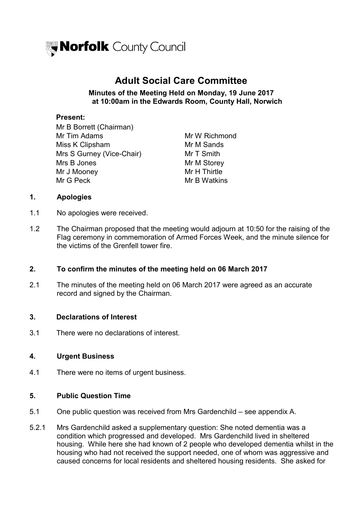

# **Adult Social Care Committee**

#### **Minutes of the Meeting Held on Monday, 19 June 2017 at 10:00am in the Edwards Room, County Hall, Norwich**

#### **Present:**

Mr B Borrett (Chairman) Mr Tim Adams Mr W Richmond Miss K Clipsham Mr M Sands Mrs S Gurney (Vice-Chair) Mr T Smith Mrs B Jones Mrs Mr M Storey Mr J Mooney **Mr H** Thirtle Mr G Peck Mr B Watkins

## **1. Apologies**

- 1.1 No apologies were received.
- 1.2 The Chairman proposed that the meeting would adjourn at 10:50 for the raising of the Flag ceremony in commemoration of Armed Forces Week, and the minute silence for the victims of the Grenfell tower fire.

#### **2. To confirm the minutes of the meeting held on 06 March 2017**

2.1 The minutes of the meeting held on 06 March 2017 were agreed as an accurate record and signed by the Chairman.

#### **3. Declarations of Interest**

3.1 There were no declarations of interest.

#### **4. Urgent Business**

4.1 There were no items of urgent business.

#### **5. Public Question Time**

- 5.1 One public question was received from Mrs Gardenchild – see appendix A.
- 5.2.1 Mrs Gardenchild asked a supplementary question: She noted dementia was a condition which progressed and developed. Mrs Gardenchild lived in sheltered housing. While here she had known of 2 people who developed dementia whilst in the housing who had not received the support needed, one of whom was aggressive and caused concerns for local residents and sheltered housing residents. She asked for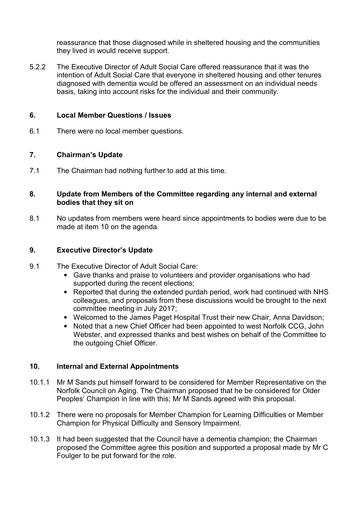reassurance that those diagnosed while in sheltered housing and the communities they lived in would receive support.

5.2.2 The Executive Director of Adult Social Care offered reassurance that it was the intention of Adult Social Care that everyone in sheltered housing and other tenures diagnosed with dementia would be offered an assessment on an individual needs basis, taking into account risks for the individual and their community.

### **6. Local Member Questions / Issues**

6.1 There were no local member questions.

## **7. Chairman's Update**

7.1 The Chairman had nothing further to add at this time.

#### **8. Update from Members of the Committee regarding any internal and external bodies that they sit on**

8.1 No updates from members were heard since appointments to bodies were due to be made at item 10 on the agenda.

## **9. Executive Director's Update**

- 9.1 The Executive Director of Adult Social Care:
	- Gave thanks and praise to volunteers and provider organisations who had supported during the recent elections;
	- Reported that during the extended purdah period, work had continued with NHS colleagues, and proposals from these discussions would be brought to the next committee meeting in July 2017;
	- Welcomed to the James Paget Hospital Trust their new Chair, Anna Davidson;
	- Noted that a new Chief Officer had been appointed to west Norfolk CCG, John Webster, and expressed thanks and best wishes on behalf of the Committee to the outgoing Chief Officer.

#### **10. Internal and External Appointments**

- 10.1.1 Mr M Sands put himself forward to be considered for Member Representative on the Norfolk Council on Aging. The Chairman proposed that he be considered for Older Peoples' Champion in line with this; Mr M Sands agreed with this proposal.
- 10.1.2 There were no proposals for Member Champion for Learning Difficulties or Member Champion for Physical Difficulty and Sensory Impairment.
- 10.1.3 It had been suggested that the Council have a dementia champion; the Chairman proposed the Committee agree this position and supported a proposal made by Mr C Foulger to be put forward for the role.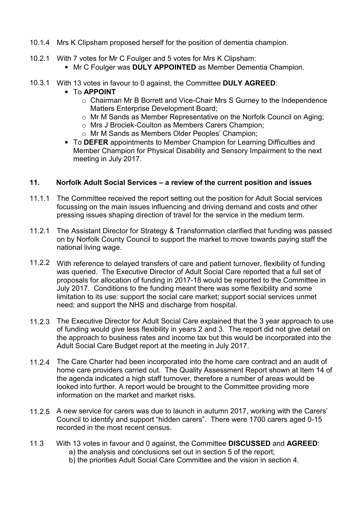- 10.1.4 Mrs K Clipsham proposed herself for the position of dementia champion.
- 10.2.1 With 7 votes for Mr C Foulger and 5 votes for Mrs K Clipsham:
	- Mr C Foulger was **DULY APPOINTED** as Member Dementia Champion.
- 10.3.1 With 13 votes in favour to 0 against, the Committee **DULY AGREED**:
	- To **APPOINT**
		- o Chairman Mr B Borrett and Vice-Chair Mrs S Gurney to the Independence Matters Enterprise Development Board;
		- o Mr M Sands as Member Representative on the Norfolk Council on Aging;
		- o Mrs J Brociek-Coulton as Members Carers Champion;
		- o Mr M Sands as Members Older Peoples' Champion;
	- To **DEFER** appointments to Member Champion for Learning Difficulties and Member Champion for Physical Disability and Sensory Impairment to the next meeting in July 2017.

# **11. Norfolk Adult Social Services – a review of the current position and issues**

- 11.1.1 The Committee received the report setting out the position for Adult Social services focussing on the main issues influencing and driving demand and costs and other pressing issues shaping direction of travel for the service in the medium term.
- 11.2.1 The Assistant Director for Strategy & Transformation clarified that funding was passed on by Norfolk County Council to support the market to move towards paying staff the national living wage.
- 11.2.2 With reference to delayed transfers of care and patient turnover, flexibility of funding was queried. The Executive Director of Adult Social Care reported that a full set of proposals for allocation of funding in 2017-18 would be reported to the Committee in July 2017. Conditions to the funding meant there was some flexibility and some limitation to its use: support the social care market; support social services unmet need; and support the NHS and discharge from hospital.
- 11.2.3 The Executive Director for Adult Social Care explained that the 3 year approach to use of funding would give less flexibility in years 2 and 3. The report did not give detail on the approach to business rates and income tax but this would be incorporated into the Adult Social Care Budget report at the meeting in July 2017.
- 11.2.4 The Care Charter had been incorporated into the home care contract and an audit of home care providers carried out. The Quality Assessment Report shown at Item 14 of the agenda indicated a high staff turnover, therefore a number of areas would be looked into further. A report would be brought to the Committee providing more information on the market and market risks.
- 11.2.5 A new service for carers was due to launch in autumn 2017, working with the Carers' Council to identify and support "hidden carers". There were 1700 carers aged 0-15 recorded in the most recent census.
- 11.3 With 13 votes in favour and 0 against, the Committee **DISCUSSED** and **AGREED**: a) the analysis and conclusions set out in section 5 of the report; b) the priorities Adult Social Care Committee and the vision in section 4.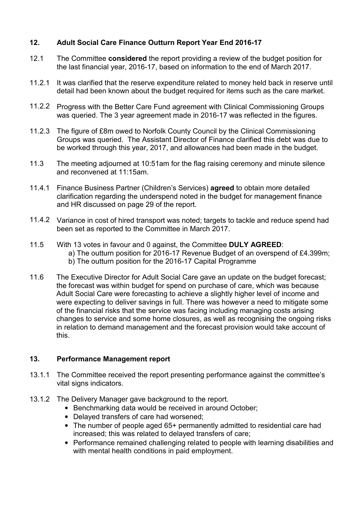## **12. Adult Social Care Finance Outturn Report Year End 2016-17**

- 12.1 The Committee **considered** the report providing a review of the budget position for the last financial year, 2016-17, based on information to the end of March 2017.
- 11.2.1 It was clarified that the reserve expenditure related to money held back in reserve until detail had been known about the budget required for items such as the care market.
- 11.2.2 Progress with the Better Care Fund agreement with Clinical Commissioning Groups was queried. The 3 year agreement made in 2016-17 was reflected in the figures.
- 11.2.3 The figure of £8m owed to Norfolk County Council by the Clinical Commissioning Groups was queried. The Assistant Director of Finance clarified this debt was due to be worked through this year, 2017, and allowances had been made in the budget.
- 11.3 The meeting adjourned at 10:51am for the flag raising ceremony and minute silence and reconvened at 11:15am.
- 11.4.1 Finance Business Partner (Children's Services) **agreed** to obtain more detailed clarification regarding the underspend noted in the budget for management finance and HR discussed on page 29 of the report.
- 11.4.2 Variance in cost of hired transport was noted; targets to tackle and reduce spend had been set as reported to the Committee in March 2017.
- 11.5 With 13 votes in favour and 0 against, the Committee **DULY AGREED**: a) The outturn position for 2016-17 Revenue Budget of an overspend of £4.399m; b) The outturn position for the 2016-17 Capital Programme
- 11.6 The Executive Director for Adult Social Care gave an update on the budget forecast; the forecast was within budget for spend on purchase of care, which was because Adult Social Care were forecasting to achieve a slightly higher level of income and were expecting to deliver savings in full. There was however a need to mitigate some of the financial risks that the service was facing including managing costs arising changes to service and some home closures, as well as recognising the ongoing risks in relation to demand management and the forecast provision would take account of this.

## **13. Performance Management report**

- 13.1.1 The Committee received the report presenting performance against the committee's vital signs indicators.
- 13.1.2 The Delivery Manager gave background to the report.
	- Benchmarking data would be received in around October;
	- Delayed transfers of care had worsened;
	- The number of people aged 65+ permanently admitted to residential care had increased; this was related to delayed transfers of care;
	- Performance remained challenging related to people with learning disabilities and with mental health conditions in paid employment.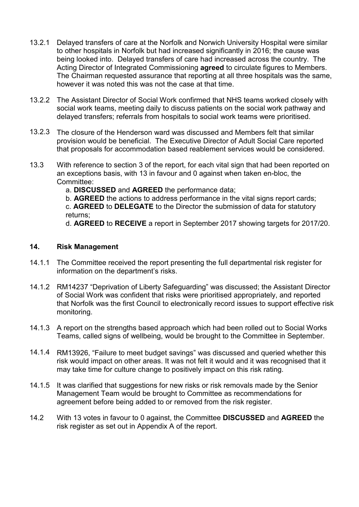- 13.2.1 Delayed transfers of care at the Norfolk and Norwich University Hospital were similar to other hospitals in Norfolk but had increased significantly in 2016; the cause was being looked into. Delayed transfers of care had increased across the country. The Acting Director of Integrated Commissioning **agreed** to circulate figures to Members. The Chairman requested assurance that reporting at all three hospitals was the same, however it was noted this was not the case at that time.
- 13.2.2 The Assistant Director of Social Work confirmed that NHS teams worked closely with social work teams, meeting daily to discuss patients on the social work pathway and delayed transfers; referrals from hospitals to social work teams were prioritised.
- 13.2.3 The closure of the Henderson ward was discussed and Members felt that similar provision would be beneficial. The Executive Director of Adult Social Care reported that proposals for accommodation based reablement services would be considered.
- 13.3 With reference to section 3 of the report, for each vital sign that had been reported on an exceptions basis, with 13 in favour and 0 against when taken en-bloc, the Committee:

a. **DISCUSSED** and **AGREED** the performance data;

b. **AGREED** the actions to address performance in the vital signs report cards; c. **AGREED** to **DELEGATE** to the Director the submission of data for statutory returns;

d. **AGREED** to **RECEIVE** a report in September 2017 showing targets for 2017/20.

#### **14. Risk Management**

- 14.1.1 The Committee received the report presenting the full departmental risk register for information on the department's risks.
- 14.1.2 RM14237 "Deprivation of Liberty Safeguarding" was discussed; the Assistant Director of Social Work was confident that risks were prioritised appropriately, and reported that Norfolk was the first Council to electronically record issues to support effective risk monitoring.
- 14.1.3 A report on the strengths based approach which had been rolled out to Social Works Teams, called signs of wellbeing, would be brought to the Committee in September.
- 14.1.4 RM13926, "Failure to meet budget savings" was discussed and queried whether this risk would impact on other areas. It was not felt it would and it was recognised that it may take time for culture change to positively impact on this risk rating.
- 14.1.5 It was clarified that suggestions for new risks or risk removals made by the Senior Management Team would be brought to Committee as recommendations for agreement before being added to or removed from the risk register.
- 14.2 With 13 votes in favour to 0 against, the Committee **DISCUSSED** and **AGREED** the risk register as set out in Appendix A of the report.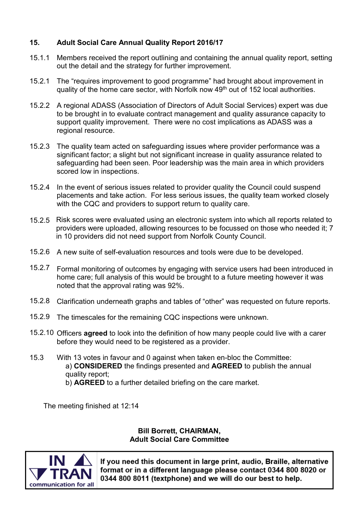# **15. Adult Social Care Annual Quality Report 2016/17**

- 15.1.1 Members received the report outlining and containing the annual quality report, setting out the detail and the strategy for further improvement.
- 15.2.1 The "requires improvement to good programme" had brought about improvement in quality of the home care sector, with Norfolk now 49th out of 152 local authorities.
- 15.2.2 A regional ADASS (Association of Directors of Adult Social Services) expert was due to be brought in to evaluate contract management and quality assurance capacity to support quality improvement. There were no cost implications as ADASS was a regional resource.
- 15.2.3 The quality team acted on safeguarding issues where provider performance was a significant factor; a slight but not significant increase in quality assurance related to safeguarding had been seen. Poor leadership was the main area in which providers scored low in inspections.
- 15.2.4 In the event of serious issues related to provider quality the Council could suspend placements and take action. For less serious issues, the quality team worked closely with the CQC and providers to support return to quality care.
- 15.2.5 Risk scores were evaluated using an electronic system into which all reports related to providers were uploaded, allowing resources to be focussed on those who needed it; 7 in 10 providers did not need support from Norfolk County Council.
- 15.2.6 A new suite of self-evaluation resources and tools were due to be developed.
- 15.2.7 Formal monitoring of outcomes by engaging with service users had been introduced in home care; full analysis of this would be brought to a future meeting however it was noted that the approval rating was 92%.
- 15.2.8 Clarification underneath graphs and tables of "other" was requested on future reports.
- 15.2.9 The timescales for the remaining CQC inspections were unknown.
- 15.2.10 Officers **agreed** to look into the definition of how many people could live with a carer before they would need to be registered as a provider.
- 15.3 With 13 votes in favour and 0 against when taken en-bloc the Committee: a) **CONSIDERED** the findings presented and **AGREED** to publish the annual quality report; b) **AGREED** to a further detailed briefing on the care market.

The meeting finished at 12:14

#### **Bill Borrett, CHAIRMAN, Adult Social Care Committee**



If you need this document in large print, audio, Braille, alternative format or in a different language please contact 0344 800 8020 or 0344 800 8011 (textphone) and we will do our best to help.